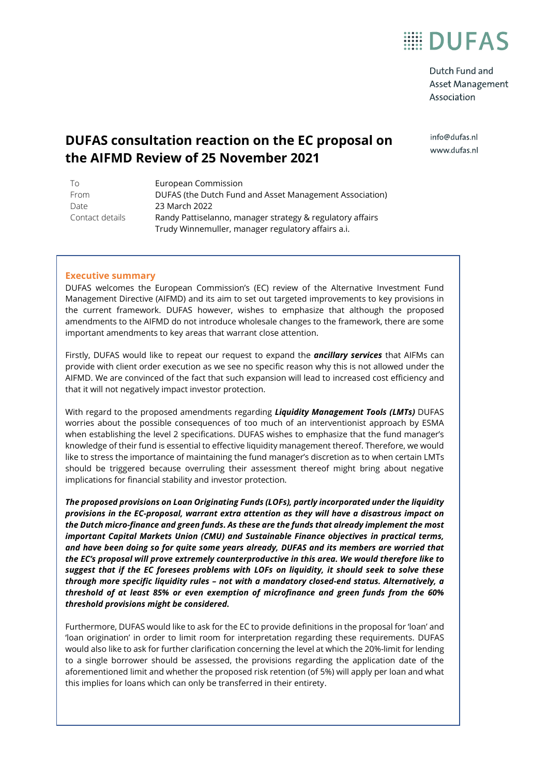

Dutch Fund and Asset Management Association

info@dufas.nl www.dufas.nl

### **DUFAS consultation reaction on the EC proposal on the AIFMD Review of 25 November 2021**

| To              | European Commission                                       |
|-----------------|-----------------------------------------------------------|
| From            | DUFAS (the Dutch Fund and Asset Management Association)   |
| Date            | 23 March 2022                                             |
| Contact details | Randy Pattiselanno, manager strategy & regulatory affairs |
|                 | Trudy Winnemuller, manager regulatory affairs a.i.        |

### **Executive summary**

DUFAS welcomes the European Commission's (EC) review of the Alternative Investment Fund Management Directive (AIFMD) and its aim to set out targeted improvements to key provisions in the current framework. DUFAS however, wishes to emphasize that although the proposed amendments to the AIFMD do not introduce wholesale changes to the framework, there are some important amendments to key areas that warrant close attention.

Firstly, DUFAS would like to repeat our request to expand the *ancillary services* that AIFMs can provide with client order execution as we see no specific reason why this is not allowed under the AIFMD. We are convinced of the fact that such expansion will lead to increased cost efficiency and that it will not negatively impact investor protection.

With regard to the proposed amendments regarding *Liquidity Management Tools (LMTs)* DUFAS worries about the possible consequences of too much of an interventionist approach by ESMA when establishing the level 2 specifications. DUFAS wishes to emphasize that the fund manager's knowledge of their fund is essential to effective liquidity management thereof. Therefore, we would like to stress the importance of maintaining the fund manager's discretion as to when certain LMTs should be triggered because overruling their assessment thereof might bring about negative implications for financial stability and investor protection.

*The proposed provisions on Loan Originating Funds (LOFs), partly incorporated under the liquidity provisions in the EC-proposal, warrant extra attention as they will have a disastrous impact on the Dutch micro-finance and green funds. As these are the funds that already implement the most important Capital Markets Union (CMU) and Sustainable Finance objectives in practical terms, and have been doing so for quite some years already, DUFAS and its members are worried that the EC's proposal will prove extremely counterproductive in this area. We would therefore like to suggest that if the EC foresees problems with LOFs on liquidity, it should seek to solve these through more specific liquidity rules – not with a mandatory closed-end status. Alternatively, a threshold of at least 85% or even exemption of microfinance and green funds from the 60% threshold provisions might be considered.*

Furthermore, DUFAS would like to ask for the EC to provide definitions in the proposal for 'loan' and 'loan origination' in order to limit room for interpretation regarding these requirements. DUFAS would also like to ask for further clarification concerning the level at which the 20%-limit for lending to a single borrower should be assessed, the provisions regarding the application date of the aforementioned limit and whether the proposed risk retention (of 5%) will apply per loan and what this implies for loans which can only be transferred in their entirety.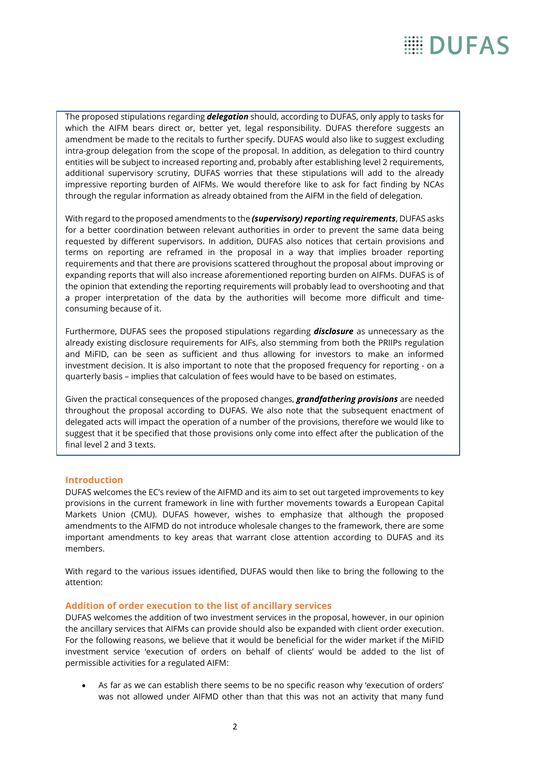The proposed stipulations regarding *delegation* should, according to DUFAS, only apply to tasks for which the AIFM bears direct or, better yet, legal responsibility. DUFAS therefore suggests an amendment be made to the recitals to further specify. DUFAS would also like to suggest excluding intra-group delegation from the scope of the proposal. In addition, as delegation to third country entities will be subject to increased reporting and, probably after establishing level 2 requirements, additional supervisory scrutiny, DUFAS worries that these stipulations will add to the already impressive reporting burden of AIFMs. We would therefore like to ask for fact finding by NCAs through the regular information as already obtained from the AIFM in the field of delegation.

With regard to the proposed amendments to the *(supervisory) reporting requirements*, DUFAS asks for a better coordination between relevant authorities in order to prevent the same data being requested by different supervisors. In addition, DUFAS also notices that certain provisions and terms on reporting are reframed in the proposal in a way that implies broader reporting requirements and that there are provisions scattered throughout the proposal about improving or expanding reports that will also increase aforementioned reporting burden on AIFMs. DUFAS is of the opinion that extending the reporting requirements will probably lead to overshooting and that a proper interpretation of the data by the authorities will become more difficult and timeconsuming because of it.

Furthermore, DUFAS sees the proposed stipulations regarding *disclosure* as unnecessary as the already existing disclosure requirements for AIFs, also stemming from both the PRIIPs regulation and MiFID, can be seen as sufficient and thus allowing for investors to make an informed investment decision. It is also important to note that the proposed frequency for reporting - on a quarterly basis – implies that calculation of fees would have to be based on estimates.

Given the practical consequences of the proposed changes, *grandfathering provisions* are needed throughout the proposal according to DUFAS. We also note that the subsequent enactment of delegated acts will impact the operation of a number of the provisions, therefore we would like to suggest that it be specified that those provisions only come into effect after the publication of the final level 2 and 3 texts.

### **Introduction**

DUFAS welcomes the EC's review of the AIFMD and its aim to set out targeted improvements to key provisions in the current framework in line with further movements towards a European Capital Markets Union (CMU). DUFAS however, wishes to emphasize that although the proposed amendments to the AIFMD do not introduce wholesale changes to the framework, there are some important amendments to key areas that warrant close attention according to DUFAS and its members.

With regard to the various issues identified, DUFAS would then like to bring the following to the attention:

### **Addition of order execution to the list of ancillary services**

DUFAS welcomes the addition of two investment services in the proposal, however, in our opinion the ancillary services that AIFMs can provide should also be expanded with client order execution. For the following reasons, we believe that it would be beneficial for the wider market if the MiFID investment service 'execution of orders on behalf of clients' would be added to the list of permissible activities for a regulated AIFM:

• As far as we can establish there seems to be no specific reason why 'execution of orders' was not allowed under AIFMD other than that this was not an activity that many fund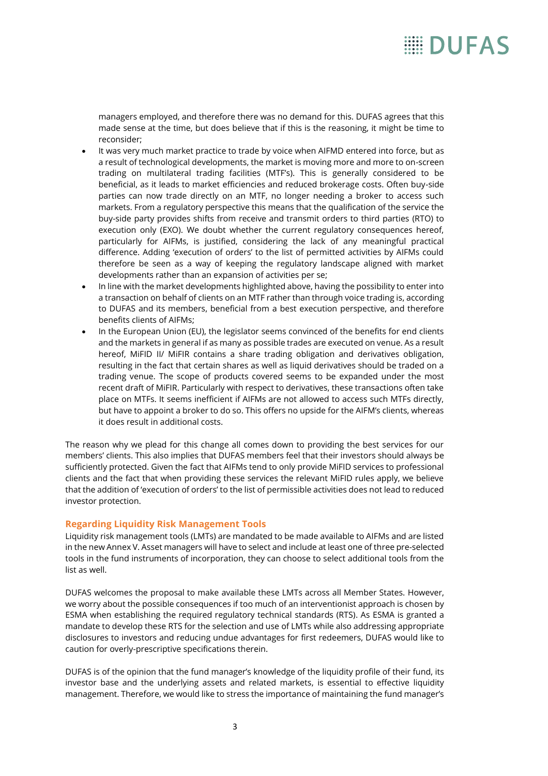managers employed, and therefore there was no demand for this. DUFAS agrees that this made sense at the time, but does believe that if this is the reasoning, it might be time to reconsider;

- It was very much market practice to trade by voice when AIFMD entered into force, but as a result of technological developments, the market is moving more and more to on-screen trading on multilateral trading facilities (MTF's). This is generally considered to be beneficial, as it leads to market efficiencies and reduced brokerage costs. Often buy-side parties can now trade directly on an MTF, no longer needing a broker to access such markets. From a regulatory perspective this means that the qualification of the service the buy-side party provides shifts from receive and transmit orders to third parties (RTO) to execution only (EXO). We doubt whether the current regulatory consequences hereof, particularly for AIFMs, is justified, considering the lack of any meaningful practical difference. Adding 'execution of orders' to the list of permitted activities by AIFMs could therefore be seen as a way of keeping the regulatory landscape aligned with market developments rather than an expansion of activities per se;
- In line with the market developments highlighted above, having the possibility to enter into a transaction on behalf of clients on an MTF rather than through voice trading is, according to DUFAS and its members, beneficial from a best execution perspective, and therefore benefits clients of AIFMs;
- In the European Union (EU), the legislator seems convinced of the benefits for end clients and the markets in general if as many as possible trades are executed on venue. As a result hereof, MiFID II/ MiFIR contains a share trading obligation and derivatives obligation, resulting in the fact that certain shares as well as liquid derivatives should be traded on a trading venue. The scope of products covered seems to be expanded under the most recent draft of MiFIR. Particularly with respect to derivatives, these transactions often take place on MTFs. It seems inefficient if AIFMs are not allowed to access such MTFs directly, but have to appoint a broker to do so. This offers no upside for the AIFM's clients, whereas it does result in additional costs.

The reason why we plead for this change all comes down to providing the best services for our members' clients. This also implies that DUFAS members feel that their investors should always be sufficiently protected. Given the fact that AIFMs tend to only provide MiFID services to professional clients and the fact that when providing these services the relevant MiFID rules apply, we believe that the addition of 'execution of orders' to the list of permissible activities does not lead to reduced investor protection.

### **Regarding Liquidity Risk Management Tools**

Liquidity risk management tools (LMTs) are mandated to be made available to AIFMs and are listed in the new Annex V. Asset managers will have to select and include at least one of three pre-selected tools in the fund instruments of incorporation, they can choose to select additional tools from the list as well.

DUFAS welcomes the proposal to make available these LMTs across all Member States. However, we worry about the possible consequences if too much of an interventionist approach is chosen by ESMA when establishing the required regulatory technical standards (RTS). As ESMA is granted a mandate to develop these RTS for the selection and use of LMTs while also addressing appropriate disclosures to investors and reducing undue advantages for first redeemers, DUFAS would like to caution for overly-prescriptive specifications therein.

DUFAS is of the opinion that the fund manager's knowledge of the liquidity profile of their fund, its investor base and the underlying assets and related markets, is essential to effective liquidity management. Therefore, we would like to stress the importance of maintaining the fund manager's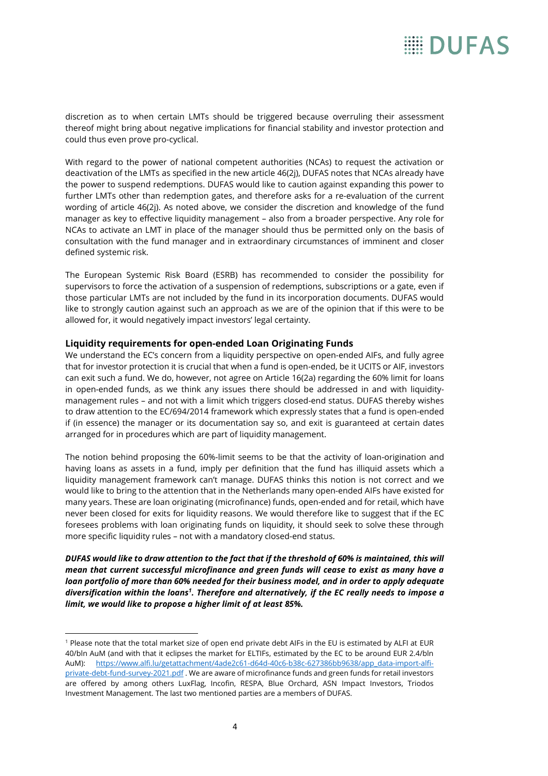discretion as to when certain LMTs should be triggered because overruling their assessment thereof might bring about negative implications for financial stability and investor protection and could thus even prove pro-cyclical.

With regard to the power of national competent authorities (NCAs) to request the activation or deactivation of the LMTs as specified in the new article 46(2j), DUFAS notes that NCAs already have the power to suspend redemptions. DUFAS would like to caution against expanding this power to further LMTs other than redemption gates, and therefore asks for a re-evaluation of the current wording of article 46(2j). As noted above, we consider the discretion and knowledge of the fund manager as key to effective liquidity management – also from a broader perspective. Any role for NCAs to activate an LMT in place of the manager should thus be permitted only on the basis of consultation with the fund manager and in extraordinary circumstances of imminent and closer defined systemic risk.

The European Systemic Risk Board (ESRB) has recommended to consider the possibility for supervisors to force the activation of a suspension of redemptions, subscriptions or a gate, even if those particular LMTs are not included by the fund in its incorporation documents. DUFAS would like to strongly caution against such an approach as we are of the opinion that if this were to be allowed for, it would negatively impact investors' legal certainty.

### **Liquidity requirements for open-ended Loan Originating Funds**

We understand the EC's concern from a liquidity perspective on open-ended AIFs, and fully agree that for investor protection it is crucial that when a fund is open-ended, be it UCITS or AIF, investors can exit such a fund. We do, however, not agree on Article 16(2a) regarding the 60% limit for loans in open-ended funds, as we think any issues there should be addressed in and with liquiditymanagement rules – and not with a limit which triggers closed-end status. DUFAS thereby wishes to draw attention to the EC/694/2014 framework which expressly states that a fund is open-ended if (in essence) the manager or its documentation say so, and exit is guaranteed at certain dates arranged for in procedures which are part of liquidity management.

The notion behind proposing the 60%-limit seems to be that the activity of loan-origination and having loans as assets in a fund, imply per definition that the fund has illiquid assets which a liquidity management framework can't manage. DUFAS thinks this notion is not correct and we would like to bring to the attention that in the Netherlands many open-ended AIFs have existed for many years. These are loan originating (microfinance) funds, open-ended and for retail, which have never been closed for exits for liquidity reasons. We would therefore like to suggest that if the EC foresees problems with loan originating funds on liquidity, it should seek to solve these through more specific liquidity rules – not with a mandatory closed-end status.

*DUFAS would like to draw attention to the fact that if the threshold of 60% is maintained, this will mean that current successful microfinance and green funds will cease to exist as many have a loan portfolio of more than 60% needed for their business model, and in order to apply adequate diversification within the loans<sup>1</sup> . Therefore and alternatively, if the EC really needs to impose a limit, we would like to propose a higher limit of at least 85%.*

<sup>1</sup> Please note that the total market size of open end private debt AIFs in the EU is estimated by ALFI at EUR 40/bln AuM (and with that it eclipses the market for ELTIFs, estimated by the EC to be around EUR 2.4/bln AuM): [https://www.alfi.lu/getattachment/4ade2c61-d64d-40c6-b38c-627386bb9638/app\\_data-import-alfi](https://www.alfi.lu/getattachment/4ade2c61-d64d-40c6-b38c-627386bb9638/app_data-import-alfi-private-debt-fund-survey-2021.pdf)[private-debt-fund-survey-2021.pdf](https://www.alfi.lu/getattachment/4ade2c61-d64d-40c6-b38c-627386bb9638/app_data-import-alfi-private-debt-fund-survey-2021.pdf) . We are aware of microfinance funds and green funds for retail investors are offered by among others LuxFlag, Incofin, RESPA, Blue Orchard, ASN Impact Investors, Triodos Investment Management. The last two mentioned parties are a members of DUFAS.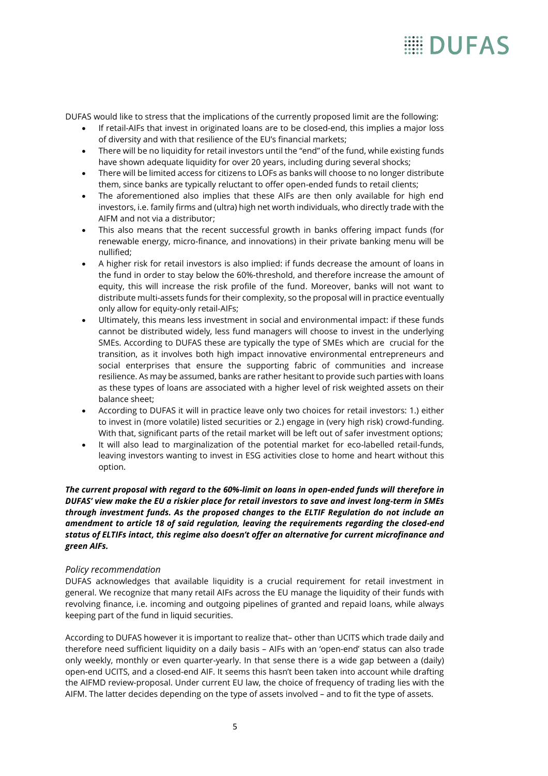DUFAS would like to stress that the implications of the currently proposed limit are the following:

- If retail-AIFs that invest in originated loans are to be closed-end, this implies a major loss of diversity and with that resilience of the EU's financial markets;
- There will be no liquidity for retail investors until the "end" of the fund, while existing funds have shown adequate liquidity for over 20 years, including during several shocks;
- There will be limited access for citizens to LOFs as banks will choose to no longer distribute them, since banks are typically reluctant to offer open-ended funds to retail clients;
- The aforementioned also implies that these AIFs are then only available for high end investors, i.e. family firms and (ultra) high net worth individuals, who directly trade with the AIFM and not via a distributor;
- This also means that the recent successful growth in banks offering impact funds (for renewable energy, micro-finance, and innovations) in their private banking menu will be nullified;
- A higher risk for retail investors is also implied: if funds decrease the amount of loans in the fund in order to stay below the 60%-threshold, and therefore increase the amount of equity, this will increase the risk profile of the fund. Moreover, banks will not want to distribute multi-assets funds for their complexity, so the proposal will in practice eventually only allow for equity-only retail-AIFs;
- Ultimately, this means less investment in social and environmental impact: if these funds cannot be distributed widely, less fund managers will choose to invest in the underlying SMEs. According to DUFAS these are typically the type of SMEs which are crucial for the transition, as it involves both high impact innovative environmental entrepreneurs and social enterprises that ensure the supporting fabric of communities and increase resilience. As may be assumed, banks are rather hesitant to provide such parties with loans as these types of loans are associated with a higher level of risk weighted assets on their balance sheet;
- According to DUFAS it will in practice leave only two choices for retail investors: 1.) either to invest in (more volatile) listed securities or 2.) engage in (very high risk) crowd-funding. With that, significant parts of the retail market will be left out of safer investment options;
- It will also lead to marginalization of the potential market for eco-labelled retail-funds, leaving investors wanting to invest in ESG activities close to home and heart without this option.

### *The current proposal with regard to the 60%-limit on loans in open-ended funds will therefore in DUFAS' view make the EU a riskier place for retail investors to save and invest long-term in SMEs through investment funds. As the proposed changes to the ELTIF Regulation do not include an amendment to article 18 of said regulation, leaving the requirements regarding the closed-end status of ELTIFs intact, this regime also doesn't offer an alternative for current microfinance and green AIFs.*

### *Policy recommendation*

DUFAS acknowledges that available liquidity is a crucial requirement for retail investment in general. We recognize that many retail AIFs across the EU manage the liquidity of their funds with revolving finance, i.e. incoming and outgoing pipelines of granted and repaid loans, while always keeping part of the fund in liquid securities.

According to DUFAS however it is important to realize that– other than UCITS which trade daily and therefore need sufficient liquidity on a daily basis – AIFs with an 'open-end' status can also trade only weekly, monthly or even quarter-yearly. In that sense there is a wide gap between a (daily) open-end UCITS, and a closed-end AIF. It seems this hasn't been taken into account while drafting the AIFMD review-proposal. Under current EU law, the choice of frequency of trading lies with the AIFM. The latter decides depending on the type of assets involved – and to fit the type of assets.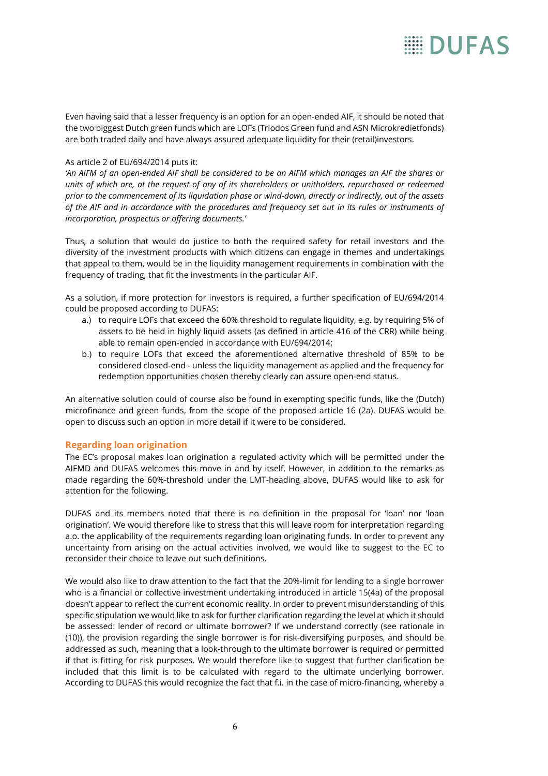Even having said that a lesser frequency is an option for an open-ended AIF, it should be noted that the two biggest Dutch green funds which are LOFs (Triodos Green fund and ASN Microkredietfonds) are both traded daily and have always assured adequate liquidity for their (retail)investors.

### As article 2 of EU/694/2014 puts it:

*'An AIFM of an open-ended AIF shall be considered to be an AIFM which manages an AIF the shares or units of which are, at the request of any of its shareholders or unitholders, repurchased or redeemed prior to the commencement of its liquidation phase or wind-down, directly or indirectly, out of the assets of the AIF and in accordance with the procedures and frequency set out in its rules or instruments of incorporation, prospectus or offering documents.'*

Thus, a solution that would do justice to both the required safety for retail investors and the diversity of the investment products with which citizens can engage in themes and undertakings that appeal to them, would be in the liquidity management requirements in combination with the frequency of trading, that fit the investments in the particular AIF.

As a solution, if more protection for investors is required, a further specification of EU/694/2014 could be proposed according to DUFAS:

- a.) to require LOFs that exceed the 60% threshold to regulate liquidity, e.g. by requiring 5% of assets to be held in highly liquid assets (as defined in article 416 of the CRR) while being able to remain open-ended in accordance with EU/694/2014;
- b.) to require LOFs that exceed the aforementioned alternative threshold of 85% to be considered closed-end - unless the liquidity management as applied and the frequency for redemption opportunities chosen thereby clearly can assure open-end status.

An alternative solution could of course also be found in exempting specific funds, like the (Dutch) microfinance and green funds, from the scope of the proposed article 16 (2a). DUFAS would be open to discuss such an option in more detail if it were to be considered.

### **Regarding loan origination**

The EC's proposal makes loan origination a regulated activity which will be permitted under the AIFMD and DUFAS welcomes this move in and by itself. However, in addition to the remarks as made regarding the 60%-threshold under the LMT-heading above, DUFAS would like to ask for attention for the following.

DUFAS and its members noted that there is no definition in the proposal for 'loan' nor 'loan origination'. We would therefore like to stress that this will leave room for interpretation regarding a.o. the applicability of the requirements regarding loan originating funds. In order to prevent any uncertainty from arising on the actual activities involved, we would like to suggest to the EC to reconsider their choice to leave out such definitions.

We would also like to draw attention to the fact that the 20%-limit for lending to a single borrower who is a financial or collective investment undertaking introduced in article 15(4a) of the proposal doesn't appear to reflect the current economic reality. In order to prevent misunderstanding of this specific stipulation we would like to ask for further clarification regarding the level at which it should be assessed: lender of record or ultimate borrower? If we understand correctly (see rationale in (10)), the provision regarding the single borrower is for risk-diversifying purposes, and should be addressed as such, meaning that a look-through to the ultimate borrower is required or permitted if that is fitting for risk purposes. We would therefore like to suggest that further clarification be included that this limit is to be calculated with regard to the ultimate underlying borrower. According to DUFAS this would recognize the fact that f.i. in the case of micro-financing, whereby a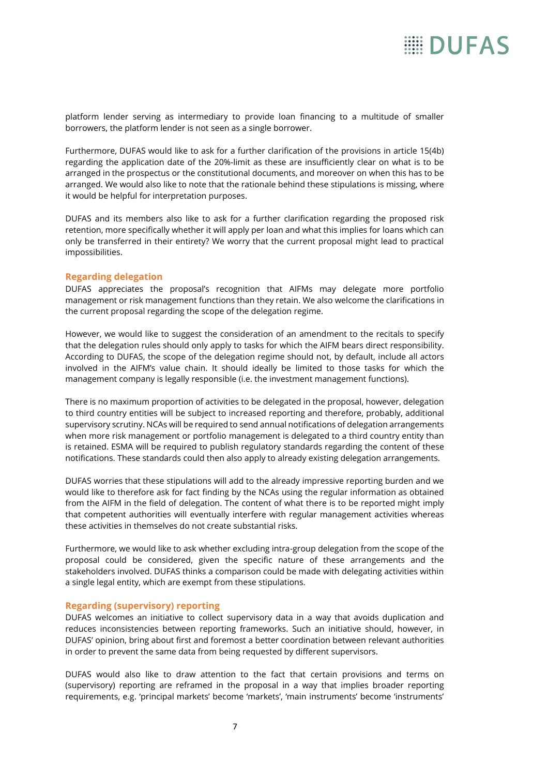platform lender serving as intermediary to provide loan financing to a multitude of smaller borrowers, the platform lender is not seen as a single borrower.

Furthermore, DUFAS would like to ask for a further clarification of the provisions in article 15(4b) regarding the application date of the 20%-limit as these are insufficiently clear on what is to be arranged in the prospectus or the constitutional documents, and moreover on when this has to be arranged. We would also like to note that the rationale behind these stipulations is missing, where it would be helpful for interpretation purposes.

DUFAS and its members also like to ask for a further clarification regarding the proposed risk retention, more specifically whether it will apply per loan and what this implies for loans which can only be transferred in their entirety? We worry that the current proposal might lead to practical impossibilities.

### **Regarding delegation**

DUFAS appreciates the proposal's recognition that AIFMs may delegate more portfolio management or risk management functions than they retain. We also welcome the clarifications in the current proposal regarding the scope of the delegation regime.

However, we would like to suggest the consideration of an amendment to the recitals to specify that the delegation rules should only apply to tasks for which the AIFM bears direct responsibility. According to DUFAS, the scope of the delegation regime should not, by default, include all actors involved in the AIFM's value chain. It should ideally be limited to those tasks for which the management company is legally responsible (i.e. the investment management functions).

There is no maximum proportion of activities to be delegated in the proposal, however, delegation to third country entities will be subject to increased reporting and therefore, probably, additional supervisory scrutiny. NCAs will be required to send annual notifications of delegation arrangements when more risk management or portfolio management is delegated to a third country entity than is retained. ESMA will be required to publish regulatory standards regarding the content of these notifications. These standards could then also apply to already existing delegation arrangements.

DUFAS worries that these stipulations will add to the already impressive reporting burden and we would like to therefore ask for fact finding by the NCAs using the regular information as obtained from the AIFM in the field of delegation. The content of what there is to be reported might imply that competent authorities will eventually interfere with regular management activities whereas these activities in themselves do not create substantial risks.

Furthermore, we would like to ask whether excluding intra-group delegation from the scope of the proposal could be considered, given the specific nature of these arrangements and the stakeholders involved. DUFAS thinks a comparison could be made with delegating activities within a single legal entity, which are exempt from these stipulations.

#### **Regarding (supervisory) reporting**

DUFAS welcomes an initiative to collect supervisory data in a way that avoids duplication and reduces inconsistencies between reporting frameworks. Such an initiative should, however, in DUFAS' opinion, bring about first and foremost a better coordination between relevant authorities in order to prevent the same data from being requested by different supervisors.

DUFAS would also like to draw attention to the fact that certain provisions and terms on (supervisory) reporting are reframed in the proposal in a way that implies broader reporting requirements, e.g. 'principal markets' become 'markets', 'main instruments' become 'instruments'